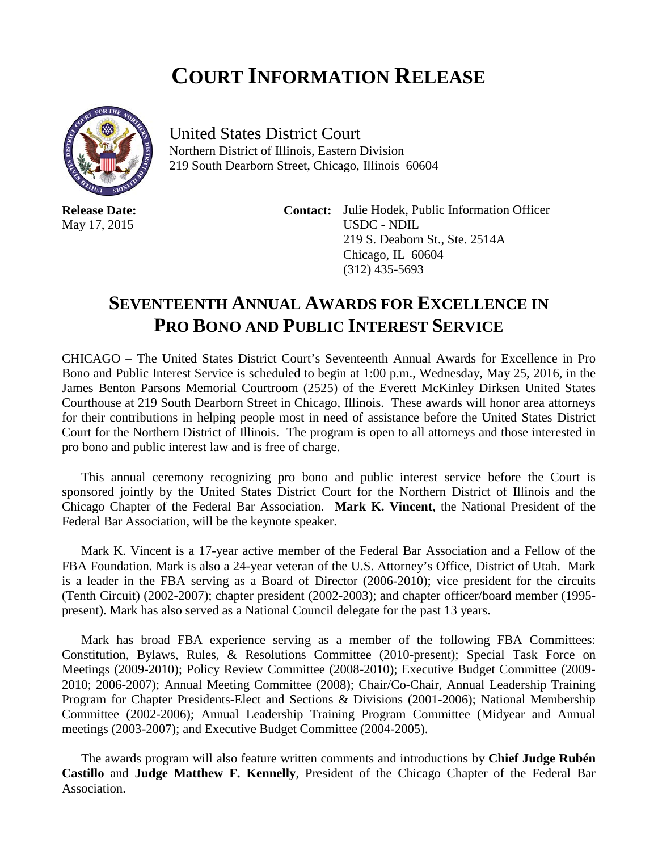## **COURT INFORMATION RELEASE**



**Release Date:** May 17, 2015

United States District Court Northern District of Illinois, Eastern Division 219 South Dearborn Street, Chicago, Illinois 60604

> **Contact:** Julie Hodek, Public Information Officer USDC - NDIL 219 S. Deaborn St., Ste. 2514A Chicago, IL 60604 (312) 435-5693

## **SEVENTEENTH ANNUAL AWARDS FOR EXCELLENCE IN PRO BONO AND PUBLIC INTEREST SERVICE**

CHICAGO – The United States District Court's Seventeenth Annual Awards for Excellence in Pro Bono and Public Interest Service is scheduled to begin at 1:00 p.m., Wednesday, May 25, 2016, in the James Benton Parsons Memorial Courtroom (2525) of the Everett McKinley Dirksen United States Courthouse at 219 South Dearborn Street in Chicago, Illinois. These awards will honor area attorneys for their contributions in helping people most in need of assistance before the United States District Court for the Northern District of Illinois. The program is open to all attorneys and those interested in pro bono and public interest law and is free of charge.

This annual ceremony recognizing pro bono and public interest service before the Court is sponsored jointly by the United States District Court for the Northern District of Illinois and the Chicago Chapter of the Federal Bar Association. **Mark K. Vincent**, the National President of the Federal Bar Association, will be the keynote speaker.

Mark K. Vincent is a 17-year active member of the Federal Bar Association and a Fellow of the FBA Foundation. Mark is also a 24-year veteran of the U.S. Attorney's Office, District of Utah. Mark is a leader in the FBA serving as a Board of Director (2006-2010); vice president for the circuits (Tenth Circuit) (2002-2007); chapter president (2002-2003); and chapter officer/board member (1995 present). Mark has also served as a National Council delegate for the past 13 years.

Mark has broad FBA experience serving as a member of the following FBA Committees: Constitution, Bylaws, Rules, & Resolutions Committee (2010-present); Special Task Force on Meetings (2009-2010); Policy Review Committee (2008-2010); Executive Budget Committee (2009- 2010; 2006-2007); Annual Meeting Committee (2008); Chair/Co-Chair, Annual Leadership Training Program for Chapter Presidents-Elect and Sections & Divisions (2001-2006); National Membership Committee (2002-2006); Annual Leadership Training Program Committee (Midyear and Annual meetings (2003-2007); and Executive Budget Committee (2004-2005).

The awards program will also feature written comments and introductions by **Chief Judge Rubén Castillo** and **Judge Matthew F. Kennelly**, President of the Chicago Chapter of the Federal Bar Association.